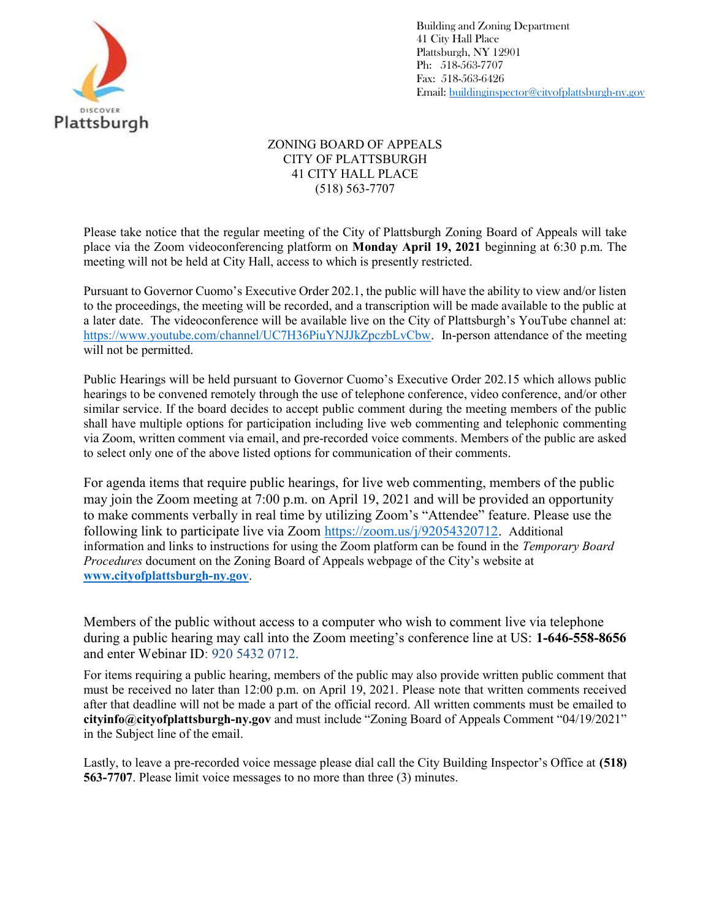

Building and Zoning Department 41 City Hall Place Plattsburgh, NY 12901 Ph: 518-563-7707 Fax: 518-563-6426 Email: buildinginspector@cityofplattsburgh-ny.gov

## ZONING BOARD OF APPEALS CITY OF PLATTSBURGH 41 CITY HALL PLACE (518) 563-7707

Please take notice that the regular meeting of the City of Plattsburgh Zoning Board of Appeals will take place via the Zoom videoconferencing platform on Monday April 19, 2021 beginning at 6:30 p.m. The meeting will not be held at City Hall, access to which is presently restricted.

Pursuant to Governor Cuomo's Executive Order 202.1, the public will have the ability to view and/or listen to the proceedings, the meeting will be recorded, and a transcription will be made available to the public at a later date. The videoconference will be available live on the City of Plattsburgh's YouTube channel at: https://www.youtube.com/channel/UC7H36PiuYNJJkZpczbLvCbw. In-person attendance of the meeting will not be permitted.

Public Hearings will be held pursuant to Governor Cuomo's Executive Order 202.15 which allows public hearings to be convened remotely through the use of telephone conference, video conference, and/or other similar service. If the board decides to accept public comment during the meeting members of the public shall have multiple options for participation including live web commenting and telephonic commenting via Zoom, written comment via email, and pre-recorded voice comments. Members of the public are asked to select only one of the above listed options for communication of their comments.

For agenda items that require public hearings, for live web commenting, members of the public may join the Zoom meeting at 7:00 p.m. on April 19, 2021 and will be provided an opportunity to make comments verbally in real time by utilizing Zoom's "Attendee" feature. Please use the following link to participate live via Zoom https://zoom.us/j/92054320712. Additional information and links to instructions for using the Zoom platform can be found in the Temporary Board Procedures document on the Zoning Board of Appeals webpage of the City's website at www.cityofplattsburgh-ny.gov.

Members of the public without access to a computer who wish to comment live via telephone during a public hearing may call into the Zoom meeting's conference line at US: 1-646-558-8656 and enter Webinar ID: 920 5432 0712.

For items requiring a public hearing, members of the public may also provide written public comment that must be received no later than 12:00 p.m. on April 19, 2021. Please note that written comments received after that deadline will not be made a part of the official record. All written comments must be emailed to cityinfo@cityofplattsburgh-ny.gov and must include "Zoning Board of Appeals Comment "04/19/2021" in the Subject line of the email.

Lastly, to leave a pre-recorded voice message please dial call the City Building Inspector's Office at (518) 563-7707. Please limit voice messages to no more than three (3) minutes.